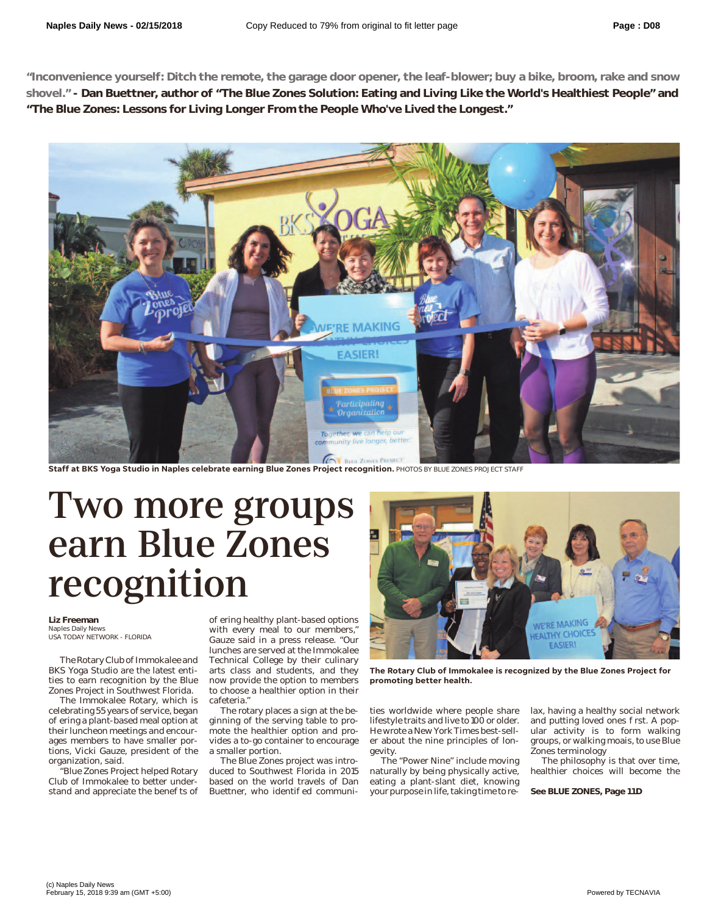**"Inconvenience yourself: Ditch the remote, the garage door opener, the leaf-blower; buy a bike, broom, rake and snow shovel." - Dan Buettner, author of "The Blue Zones Solution: Eating and Living Like the World's Healthiest People" and "The Blue Zones: Lessons for Living Longer From the People Who've Lived the Longest."**



**Staff at BKS Yoga Studio in Naples celebrate earning Blue Zones Project recognition.** PHOTOS BY BLUE ZONES PROJECT STAFF

## Two more groups<br>earn Blue Zones recognition  $\sum$  is  $\sum$  if  $\sum$  is  $\sum$  if  $\sum$  is  $\sum$  if  $\sum$  is  $\sum$  if  $\sum$  is  $\sum$  if  $\sum$  is  $\sum$  if  $\sum$  is  $\sum$  if  $\sum$  if  $\sum$  if  $\sum$  if  $\sum$  if  $\sum$  if  $\sum$  if  $\sum$  if  $\sum$  if  $\sum$  if  $\sum$  if  $\sum$  if  $\sum$  if  $\sum$  if  $\sum$

## **Liz Freeman**<br>Naples Daily News

USA TODAY NETWORK - FLORIDA

The Rotary Club of Immokalee and BKS Yoga Studio are the latest entities to earn recognition by the Blue Zones Project in Southwest Florida.

The Immokalee Rotary, which is celebrating 55 years of service, began o ering a plant-based meal option at their luncheon meetings and encourages members to have smaller portions, Vicki Gauze, president of the organization, said.

"Blue Zones Project helped Rotary Club of Immokalee to better understand and appreciate the bene ts of o ering healthy plant-based options with every meal to our members," Gauze said in a press release. "Our lunches are served at the Immokalee Technical College by their culinary arts class and students, and they now provide the option to members to choose a healthier option in their cafeteria."

The rotary places a sign at the beginning of the serving table to promote the healthier option and provides a to-go container to encourage a smaller portion.

The Blue Zones project was introduced to Southwest Florida in 2015 based on the world travels of Dan Buettner, who identi ed communi-



**The Rotary Club of Immokalee is recognized by the Blue Zones Project for promoting better health.**

ties worldwide where people share lifestyle traits and live to 100 or older. He wrote a New York Times best-seller about the nine principles of longevity.

The "Power Nine" include moving naturally by being physically active, eating a plant-slant diet, knowing your purpose in life, taking time to relax, having a healthy social network and putting loved ones rst. A popular activity is to form walking groups, or walking moais, to use Blue Zones terminology

The philosophy is that over time, healthier choices will become the

**See BLUE ZONES, Page 11D**